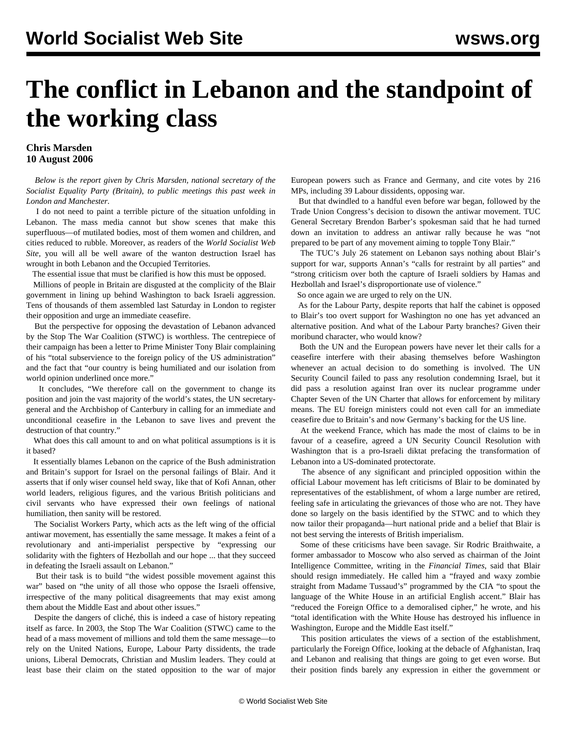## **The conflict in Lebanon and the standpoint of the working class**

## **Chris Marsden 10 August 2006**

 *Below is the report given by Chris Marsden, national secretary of the Socialist Equality Party (Britain), to public meetings this past week in London and Manchester.*

 I do not need to paint a terrible picture of the situation unfolding in Lebanon. The mass media cannot but show scenes that make this superfluous—of mutilated bodies, most of them women and children, and cities reduced to rubble. Moreover, as readers of the *World Socialist Web Site*, you will all be well aware of the wanton destruction Israel has wrought in both Lebanon and the Occupied Territories.

The essential issue that must be clarified is how this must be opposed.

 Millions of people in Britain are disgusted at the complicity of the Blair government in lining up behind Washington to back Israeli aggression. Tens of thousands of them assembled last Saturday in London to register their opposition and urge an immediate ceasefire.

 But the perspective for opposing the devastation of Lebanon advanced by the Stop The War Coalition (STWC) is worthless. The centrepiece of their campaign has been a letter to Prime Minister Tony Blair complaining of his "total subservience to the foreign policy of the US administration" and the fact that "our country is being humiliated and our isolation from world opinion underlined once more."

 It concludes, "We therefore call on the government to change its position and join the vast majority of the world's states, the UN secretarygeneral and the Archbishop of Canterbury in calling for an immediate and unconditional ceasefire in the Lebanon to save lives and prevent the destruction of that country."

 What does this call amount to and on what political assumptions is it is it based?

 It essentially blames Lebanon on the caprice of the Bush administration and Britain's support for Israel on the personal failings of Blair. And it asserts that if only wiser counsel held sway, like that of Kofi Annan, other world leaders, religious figures, and the various British politicians and civil servants who have expressed their own feelings of national humiliation, then sanity will be restored.

 The Socialist Workers Party, which acts as the left wing of the official antiwar movement, has essentially the same message. It makes a feint of a revolutionary and anti-imperialist perspective by "expressing our solidarity with the fighters of Hezbollah and our hope ... that they succeed in defeating the Israeli assault on Lebanon."

 But their task is to build "the widest possible movement against this war" based on "the unity of all those who oppose the Israeli offensive, irrespective of the many political disagreements that may exist among them about the Middle East and about other issues."

 Despite the dangers of cliché, this is indeed a case of history repeating itself as farce. In 2003, the Stop The War Coalition (STWC) came to the head of a mass movement of millions and told them the same message—to rely on the United Nations, Europe, Labour Party dissidents, the trade unions, Liberal Democrats, Christian and Muslim leaders. They could at least base their claim on the stated opposition to the war of major European powers such as France and Germany, and cite votes by 216 MPs, including 39 Labour dissidents, opposing war.

 But that dwindled to a handful even before war began, followed by the Trade Union Congress's decision to disown the antiwar movement. TUC General Secretary Brendon Barber's spokesman said that he had turned down an invitation to address an antiwar rally because he was "not prepared to be part of any movement aiming to topple Tony Blair."

 The TUC's July 26 statement on Lebanon says nothing about Blair's support for war, supports Annan's "calls for restraint by all parties" and "strong criticism over both the capture of Israeli soldiers by Hamas and Hezbollah and Israel's disproportionate use of violence."

So once again we are urged to rely on the UN.

 As for the Labour Party, despite reports that half the cabinet is opposed to Blair's too overt support for Washington no one has yet advanced an alternative position. And what of the Labour Party branches? Given their moribund character, who would know?

 Both the UN and the European powers have never let their calls for a ceasefire interfere with their abasing themselves before Washington whenever an actual decision to do something is involved. The UN Security Council failed to pass any resolution condemning Israel, but it did pass a resolution against Iran over its nuclear programme under Chapter Seven of the UN Charter that allows for enforcement by military means. The EU foreign ministers could not even call for an immediate ceasefire due to Britain's and now Germany's backing for the US line.

 At the weekend France, which has made the most of claims to be in favour of a ceasefire, agreed a UN Security Council Resolution with Washington that is a pro-Israeli diktat prefacing the transformation of Lebanon into a US-dominated protectorate.

 The absence of any significant and principled opposition within the official Labour movement has left criticisms of Blair to be dominated by representatives of the establishment, of whom a large number are retired, feeling safe in articulating the grievances of those who are not. They have done so largely on the basis identified by the STWC and to which they now tailor their propaganda—hurt national pride and a belief that Blair is not best serving the interests of British imperialism.

 Some of these criticisms have been savage. Sir Rodric Braithwaite, a former ambassador to Moscow who also served as chairman of the Joint Intelligence Committee, writing in the *Financial Times*, said that Blair should resign immediately. He called him a "frayed and waxy zombie straight from Madame Tussaud's" programmed by the CIA "to spout the language of the White House in an artificial English accent." Blair has "reduced the Foreign Office to a demoralised cipher," he wrote, and his "total identification with the White House has destroyed his influence in Washington, Europe and the Middle East itself."

 This position articulates the views of a section of the establishment, particularly the Foreign Office, looking at the debacle of Afghanistan, Iraq and Lebanon and realising that things are going to get even worse. But their position finds barely any expression in either the government or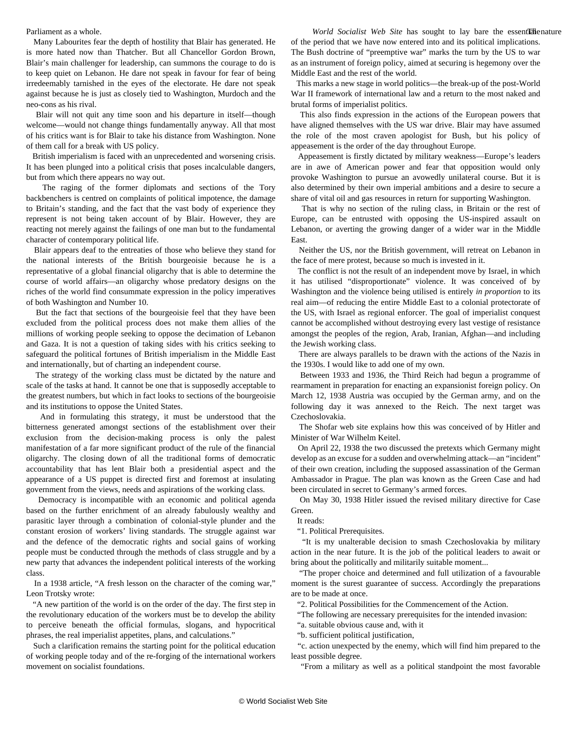## Parliament as a whole.

 Many Labourites fear the depth of hostility that Blair has generated. He is more hated now than Thatcher. But all Chancellor Gordon Brown, Blair's main challenger for leadership, can summons the courage to do is to keep quiet on Lebanon. He dare not speak in favour for fear of being irredeemably tarnished in the eyes of the electorate. He dare not speak against because he is just as closely tied to Washington, Murdoch and the neo-cons as his rival.

 Blair will not quit any time soon and his departure in itself—though welcome—would not change things fundamentally anyway. All that most of his critics want is for Blair to take his distance from Washington. None of them call for a break with US policy.

 British imperialism is faced with an unprecedented and worsening crisis. It has been plunged into a political crisis that poses incalculable dangers, but from which there appears no way out.

 The raging of the former diplomats and sections of the Tory backbenchers is centred on complaints of political impotence, the damage to Britain's standing, and the fact that the vast body of experience they represent is not being taken account of by Blair. However, they are reacting not merely against the failings of one man but to the fundamental character of contemporary political life.

 Blair appears deaf to the entreaties of those who believe they stand for the national interests of the British bourgeoisie because he is a representative of a global financial oligarchy that is able to determine the course of world affairs—an oligarchy whose predatory designs on the riches of the world find consummate expression in the policy imperatives of both Washington and Number 10.

 But the fact that sections of the bourgeoisie feel that they have been excluded from the political process does not make them allies of the millions of working people seeking to oppose the decimation of Lebanon and Gaza. It is not a question of taking sides with his critics seeking to safeguard the political fortunes of British imperialism in the Middle East and internationally, but of charting an independent course.

 The strategy of the working class must be dictated by the nature and scale of the tasks at hand. It cannot be one that is supposedly acceptable to the greatest numbers, but which in fact looks to sections of the bourgeoisie and its institutions to oppose the United States.

 And in formulating this strategy, it must be understood that the bitterness generated amongst sections of the establishment over their exclusion from the decision-making process is only the palest manifestation of a far more significant product of the rule of the financial oligarchy. The closing down of all the traditional forms of democratic accountability that has lent Blair both a presidential aspect and the appearance of a US puppet is directed first and foremost at insulating government from the views, needs and aspirations of the working class.

 Democracy is incompatible with an economic and political agenda based on the further enrichment of an already fabulously wealthy and parasitic layer through a combination of colonial-style plunder and the constant erosion of workers' living standards. The struggle against war and the defence of the democratic rights and social gains of working people must be conducted through the methods of class struggle and by a new party that advances the independent political interests of the working class.

 In a 1938 article, "A fresh lesson on the character of the coming war," Leon Trotsky wrote:

 "A new partition of the world is on the order of the day. The first step in the revolutionary education of the workers must be to develop the ability to perceive beneath the official formulas, slogans, and hypocritical phrases, the real imperialist appetites, plans, and calculations."

 Such a clarification remains the starting point for the political education of working people today and of the re-forging of the international workers movement on socialist foundations.

World Socialist Web Site has sought to lay bare the essentlate nature of the period that we have now entered into and its political implications. The Bush doctrine of "preemptive war" marks the turn by the US to war as an instrument of foreign policy, aimed at securing is hegemony over the Middle East and the rest of the world.

 This marks a new stage in world politics—the break-up of the post-World War II framework of international law and a return to the most naked and brutal forms of imperialist politics.

 This also finds expression in the actions of the European powers that have aligned themselves with the US war drive. Blair may have assumed the role of the most craven apologist for Bush, but his policy of appeasement is the order of the day throughout Europe.

 Appeasement is firstly dictated by military weakness—Europe's leaders are in awe of American power and fear that opposition would only provoke Washington to pursue an avowedly unilateral course. But it is also determined by their own imperial ambitions and a desire to secure a share of vital oil and gas resources in return for supporting Washington.

 That is why no section of the ruling class, in Britain or the rest of Europe, can be entrusted with opposing the US-inspired assault on Lebanon, or averting the growing danger of a wider war in the Middle East.

 Neither the US, nor the British government, will retreat on Lebanon in the face of mere protest, because so much is invested in it.

 The conflict is not the result of an independent move by Israel, in which it has utilised "disproportionate" violence. It was conceived of by Washington and the violence being utilised is entirely *in proportion* to its real aim—of reducing the entire Middle East to a colonial protectorate of the US, with Israel as regional enforcer. The goal of imperialist conquest cannot be accomplished without destroying every last vestige of resistance amongst the peoples of the region, Arab, Iranian, Afghan—and including the Jewish working class.

 There are always parallels to be drawn with the actions of the Nazis in the 1930s. I would like to add one of my own.

 Between 1933 and 1936, the Third Reich had begun a programme of rearmament in preparation for enacting an expansionist foreign policy. On March 12, 1938 Austria was occupied by the German army, and on the following day it was annexed to the Reich. The next target was Czechoslovakia.

 The Shofar web site explains how this was conceived of by Hitler and Minister of War Wilhelm Keitel.

 On April 22, 1938 the two discussed the pretexts which Germany might develop as an excuse for a sudden and overwhelming attack—an "incident" of their own creation, including the supposed assassination of the German Ambassador in Prague. The plan was known as the Green Case and had been circulated in secret to Germany's armed forces.

 On May 30, 1938 Hitler issued the revised military directive for Case Green.

It reads:

"1. Political Prerequisites.

 "It is my unalterable decision to smash Czechoslovakia by military action in the near future. It is the job of the political leaders to await or bring about the politically and militarily suitable moment...

 "The proper choice and determined and full utilization of a favourable moment is the surest guarantee of success. Accordingly the preparations are to be made at once.

"2. Political Possibilities for the Commencement of the Action.

"The following are necessary prerequisites for the intended invasion:

"a. suitable obvious cause and, with it

"b. sufficient political justification,

 "c. action unexpected by the enemy, which will find him prepared to the least possible degree.

"From a military as well as a political standpoint the most favorable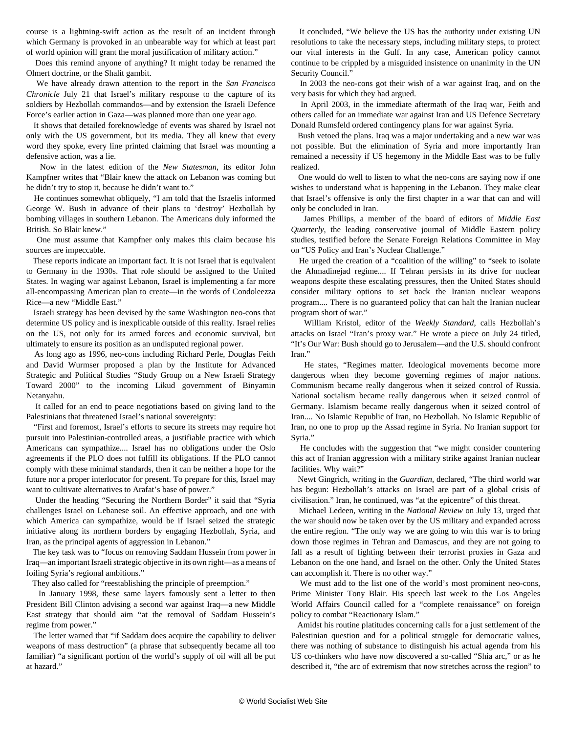course is a lightning-swift action as the result of an incident through which Germany is provoked in an unbearable way for which at least part of world opinion will grant the moral justification of military action."

 Does this remind anyone of anything? It might today be renamed the Olmert doctrine, or the Shalit gambit.

 We have already drawn attention to the report in the *San Francisco Chronicle* July 21 that Israel's military response to the capture of its soldiers by Hezbollah commandos—and by extension the Israeli Defence Force's earlier action in Gaza—was planned more than one year ago.

 It shows that detailed foreknowledge of events was shared by Israel not only with the US government, but its media. They all knew that every word they spoke, every line printed claiming that Israel was mounting a defensive action, was a lie.

 Now in the latest edition of the *New Statesman*, its editor John Kampfner writes that "Blair knew the attack on Lebanon was coming but he didn't try to stop it, because he didn't want to."

 He continues somewhat obliquely, "I am told that the Israelis informed George W. Bush in advance of their plans to 'destroy' Hezbollah by bombing villages in southern Lebanon. The Americans duly informed the British. So Blair knew."

 One must assume that Kampfner only makes this claim because his sources are impeccable.

 These reports indicate an important fact. It is not Israel that is equivalent to Germany in the 1930s. That role should be assigned to the United States. In waging war against Lebanon, Israel is implementing a far more all-encompassing American plan to create—in the words of Condoleezza Rice—a new "Middle East."

 Israeli strategy has been devised by the same Washington neo-cons that determine US policy and is inexplicable outside of this reality. Israel relies on the US, not only for its armed forces and economic survival, but ultimately to ensure its position as an undisputed regional power.

 As long ago as 1996, neo-cons including Richard Perle, Douglas Feith and David Wurmser proposed a plan by the Institute for Advanced Strategic and Political Studies "Study Group on a New Israeli Strategy Toward 2000" to the incoming Likud government of Binyamin Netanyahu.

 It called for an end to peace negotiations based on giving land to the Palestinians that threatened Israel's national sovereignty:

 "First and foremost, Israel's efforts to secure its streets may require hot pursuit into Palestinian-controlled areas, a justifiable practice with which Americans can sympathize.... Israel has no obligations under the Oslo agreements if the PLO does not fulfill its obligations. If the PLO cannot comply with these minimal standards, then it can be neither a hope for the future nor a proper interlocutor for present. To prepare for this, Israel may want to cultivate alternatives to Arafat's base of power."

 Under the heading "Securing the Northern Border" it said that "Syria challenges Israel on Lebanese soil. An effective approach, and one with which America can sympathize, would be if Israel seized the strategic initiative along its northern borders by engaging Hezbollah, Syria, and Iran, as the principal agents of aggression in Lebanon."

 The key task was to "focus on removing Saddam Hussein from power in Iraq—an important Israeli strategic objective in its own right—as a means of foiling Syria's regional ambitions."

They also called for "reestablishing the principle of preemption."

 In January 1998, these same layers famously sent a letter to then President Bill Clinton advising a second war against Iraq—a new Middle East strategy that should aim "at the removal of Saddam Hussein's regime from power."

 The letter warned that "if Saddam does acquire the capability to deliver weapons of mass destruction" (a phrase that subsequently became all too familiar) "a significant portion of the world's supply of oil will all be put at hazard."

 It concluded, "We believe the US has the authority under existing UN resolutions to take the necessary steps, including military steps, to protect our vital interests in the Gulf. In any case, American policy cannot continue to be crippled by a misguided insistence on unanimity in the UN Security Council."

 In 2003 the neo-cons got their wish of a war against Iraq, and on the very basis for which they had argued.

 In April 2003, in the immediate aftermath of the Iraq war, Feith and others called for an immediate war against Iran and US Defence Secretary Donald Rumsfeld ordered contingency plans for war against Syria.

 Bush vetoed the plans. Iraq was a major undertaking and a new war was not possible. But the elimination of Syria and more importantly Iran remained a necessity if US hegemony in the Middle East was to be fully realized.

 One would do well to listen to what the neo-cons are saying now if one wishes to understand what is happening in the Lebanon. They make clear that Israel's offensive is only the first chapter in a war that can and will only be concluded in Iran.

 James Phillips, a member of the board of editors of *Middle East Quarterly*, the leading conservative journal of Middle Eastern policy studies, testified before the Senate Foreign Relations Committee in May on "US Policy and Iran's Nuclear Challenge."

 He urged the creation of a "coalition of the willing" to "seek to isolate the Ahmadinejad regime.... If Tehran persists in its drive for nuclear weapons despite these escalating pressures, then the United States should consider military options to set back the Iranian nuclear weapons program.... There is no guaranteed policy that can halt the Iranian nuclear program short of war."

 William Kristol, editor of the *Weekly Standard*, calls Hezbollah's attacks on Israel "Iran's proxy war." He wrote a piece on July 24 titled, "It's Our War: Bush should go to Jerusalem—and the U.S. should confront Iran<sup>"</sup>

 He states, "Regimes matter. Ideological movements become more dangerous when they become governing regimes of major nations. Communism became really dangerous when it seized control of Russia. National socialism became really dangerous when it seized control of Germany. Islamism became really dangerous when it seized control of Iran.... No Islamic Republic of Iran, no Hezbollah. No Islamic Republic of Iran, no one to prop up the Assad regime in Syria. No Iranian support for Syria."

 He concludes with the suggestion that "we might consider countering this act of Iranian aggression with a military strike against Iranian nuclear facilities. Why wait?"

 Newt Gingrich, writing in the *Guardian*, declared, "The third world war has begun: Hezbollah's attacks on Israel are part of a global crisis of civilisation." Iran, he continued, was "at the epicentre" of this threat.

 Michael Ledeen, writing in the *National Review* on July 13, urged that the war should now be taken over by the US military and expanded across the entire region. "The only way we are going to win this war is to bring down those regimes in Tehran and Damascus, and they are not going to fall as a result of fighting between their terrorist proxies in Gaza and Lebanon on the one hand, and Israel on the other. Only the United States can accomplish it. There is no other way."

 We must add to the list one of the world's most prominent neo-cons, Prime Minister Tony Blair. His speech last week to the Los Angeles World Affairs Council called for a "complete renaissance" on foreign policy to combat "Reactionary Islam."

 Amidst his routine platitudes concerning calls for a just settlement of the Palestinian question and for a political struggle for democratic values, there was nothing of substance to distinguish his actual agenda from his US co-thinkers who have now discovered a so-called "Shia arc," or as he described it, "the arc of extremism that now stretches across the region" to